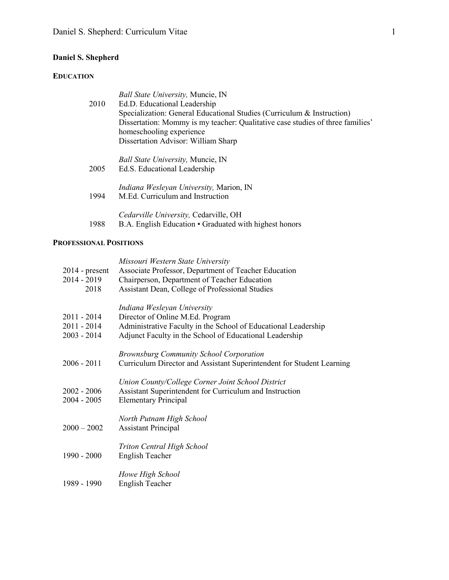# **Daniel S. Shepherd**

# **EDUCATION**

|      | <b>Ball State University, Muncie, IN</b>                                       |
|------|--------------------------------------------------------------------------------|
| 2010 | Ed.D. Educational Leadership                                                   |
|      | Specialization: General Educational Studies (Curriculum & Instruction)         |
|      | Dissertation: Mommy is my teacher: Qualitative case studies of three families' |
|      | homeschooling experience                                                       |
|      | Dissertation Advisor: William Sharp                                            |
|      | <i>Ball State University, Muncie, IN</i>                                       |
| 2005 | Ed.S. Educational Leadership                                                   |
|      | <i>Indiana Wesleyan University, Marion, IN</i>                                 |
| 1994 | M.Ed. Curriculum and Instruction                                               |
|      | Cedarville University, Cedarville, OH                                          |
| 1988 | B.A. English Education • Graduated with highest honors                         |

# **PROFESSIONAL POSITIONS**

| $2014$ - present<br>$2014 - 2019$<br>2018       | Missouri Western State University<br>Associate Professor, Department of Teacher Education<br>Chairperson, Department of Teacher Education<br>Assistant Dean, College of Professional Studies |
|-------------------------------------------------|----------------------------------------------------------------------------------------------------------------------------------------------------------------------------------------------|
| $2011 - 2014$<br>$2011 - 2014$<br>$2003 - 2014$ | Indiana Wesleyan University<br>Director of Online M.Ed. Program<br>Administrative Faculty in the School of Educational Leadership<br>Adjunct Faculty in the School of Educational Leadership |
| $2006 - 2011$                                   | <b>Brownsburg Community School Corporation</b><br>Curriculum Director and Assistant Superintendent for Student Learning                                                                      |
| $2002 - 2006$<br>$2004 - 2005$                  | Union County/College Corner Joint School District<br>Assistant Superintendent for Curriculum and Instruction<br><b>Elementary Principal</b>                                                  |
| $2000 - 2002$                                   | North Putnam High School<br><b>Assistant Principal</b>                                                                                                                                       |
| 1990 - 2000                                     | <b>Triton Central High School</b><br><b>English Teacher</b>                                                                                                                                  |
| 1989 - 1990                                     | Howe High School<br>English Teacher                                                                                                                                                          |
|                                                 |                                                                                                                                                                                              |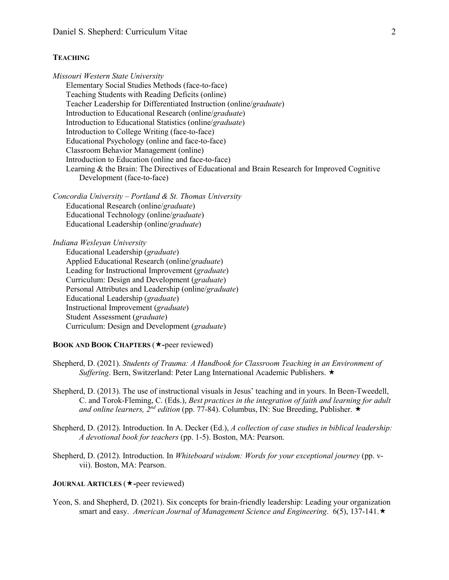### **TEACHING**

*Missouri Western State University* Elementary Social Studies Methods (face-to-face) Teaching Students with Reading Deficits (online) Teacher Leadership for Differentiated Instruction (online/*graduate*) Introduction to Educational Research (online/*graduate*) Introduction to Educational Statistics (online/*graduate*) Introduction to College Writing (face-to-face) Educational Psychology (online and face-to-face) Classroom Behavior Management (online) Introduction to Education (online and face-to-face) Learning & the Brain: The Directives of Educational and Brain Research for Improved Cognitive Development (face-to-face)

*Concordia University – Portland & St. Thomas University* Educational Research (online/*graduate*) Educational Technology (online/*graduate*) Educational Leadership (online/*graduate*)

*Indiana Wesleyan University*

Educational Leadership (*graduate*) Applied Educational Research (online/*graduate*) Leading for Instructional Improvement (*graduate*) Curriculum: Design and Development (*graduate*) Personal Attributes and Leadership (online/*graduate*) Educational Leadership (*graduate*) Instructional Improvement (*graduate*) Student Assessment (*graduate*) Curriculum: Design and Development (*graduate*)

## **BOOK AND BOOK CHAPTERS (** $\star$ **-peer reviewed)**

- Shepherd, D. (2021). *Students of Trauma: A Handbook for Classroom Teaching in an Environment of Suffering*. Bern, Switzerland: Peter Lang International Academic Publishers.
- Shepherd, D. (2013). The use of instructional visuals in Jesus' teaching and in yours. In Been-Tweedell, C. and Torok-Fleming, C. (Eds.), *Best practices in the integration of faith and learning for adult and online learners,*  $2^{nd}$  *edition (pp. 77-84).* Columbus, IN: Sue Breeding, Publisher.  $\star$
- Shepherd, D. (2012). Introduction. In A. Decker (Ed.), *A collection of case studies in biblical leadership: A devotional book for teachers* (pp. 1-5). Boston, MA: Pearson.
- Shepherd, D. (2012). Introduction. In *Whiteboard wisdom: Words for your exceptional journey* (pp. vvii). Boston, MA: Pearson.

## **JOURNAL ARTICLES** ( $\star$ -peer reviewed)

Yeon, S. and Shepherd, D. (2021). Six concepts for brain-friendly leadership: Leading your organization smart and easy. *American Journal of Management Science and Engineering*. 6(5), 137-141.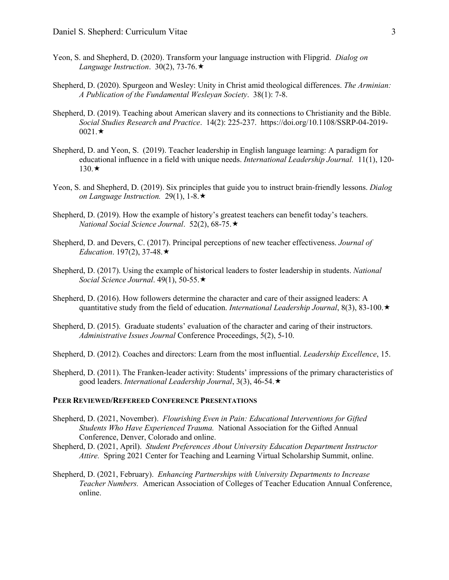- Yeon, S. and Shepherd, D. (2020). Transform your language instruction with Flipgrid. *Dialog on Language Instruction.* 30(2), 73-76. $\star$
- Shepherd, D. (2020). Spurgeon and Wesley: Unity in Christ amid theological differences. *The Arminian: A Publication of the Fundamental Wesleyan Society*. 38(1): 7-8.
- Shepherd, D. (2019). Teaching about American slavery and its connections to Christianity and the Bible. *Social Studies Research and Practice*. 14(2): 225-237. https://doi.org/10.1108/SSRP-04-2019-  $0021 \star$
- Shepherd, D. and Yeon, S. (2019). Teacher leadership in English language learning: A paradigm for educational influence in a field with unique needs. *International Leadership Journal.* 11(1), 120-  $130.\star$
- Yeon, S. and Shepherd, D. (2019). Six principles that guide you to instruct brain-friendly lessons. *Dialog on Language Instruction.* 29(1), 1-8. $\star$
- Shepherd, D. (2019). How the example of history's greatest teachers can benefit today's teachers. *National Social Science Journal*. 52(2), 68-75.
- Shepherd, D. and Devers, C. (2017). Principal perceptions of new teacher effectiveness. *Journal of Education.* 197(2), 37-48. $\star$
- Shepherd, D. (2017). Using the example of historical leaders to foster leadership in students. *National Social Science Journal*. 49(1), 50-55.
- Shepherd, D. (2016). How followers determine the character and care of their assigned leaders: A quantitative study from the field of education. *International Leadership Journal*, 8(3), 83-100.
- Shepherd, D. (2015). Graduate students' evaluation of the character and caring of their instructors. *Administrative Issues Journal* Conference Proceedings, 5(2), 5-10.

Shepherd, D. (2012). Coaches and directors: Learn from the most influential. *Leadership Excellence*, 15.

Shepherd, D. (2011). The Franken-leader activity: Students' impressions of the primary characteristics of good leaders. *International Leadership Journal*, 3(3), 46-54.

#### **PEER REVIEWED/REFEREED CONFERENCE PRESENTATIONS**

- Shepherd, D. (2021, November). *Flourishing Even in Pain: Educational Interventions for Gifted Students Who Have Experienced Trauma.* National Association for the Gifted Annual Conference, Denver, Colorado and online.
- Shepherd, D. (2021, April). *Student Preferences About University Education Department Instructor Attire.* Spring 2021 Center for Teaching and Learning Virtual Scholarship Summit, online.
- Shepherd, D. (2021, February). *Enhancing Partnerships with University Departments to Increase Teacher Numbers.* American Association of Colleges of Teacher Education Annual Conference, online.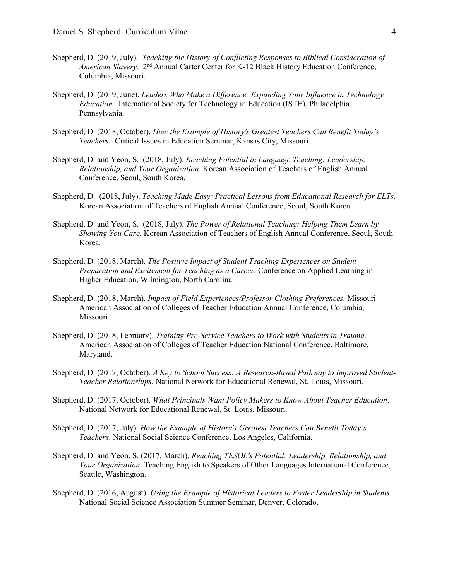- Shepherd, D. (2019, July). *Teaching the History of Conflicting Responses to Biblical Consideration of American Slavery.* 2<sup>nd</sup> Annual Carter Center for K-12 Black History Education Conference, Columbia, Missouri.
- Shepherd, D. (2019, June). *Leaders Who Make a Difference: Expanding Your Influence in Technology Education.* International Society for Technology in Education (ISTE), Philadelphia, Pennsylvania.
- Shepherd, D. (2018, October). *How the Example of History's Greatest Teachers Can Benefit Today's Teachers.* Critical Issues in Education Seminar, Kansas City, Missouri.
- Shepherd, D. and Yeon, S. (2018, July). *Reaching Potential in Language Teaching: Leadership, Relationship, and Your Organization.* Korean Association of Teachers of English Annual Conference, Seoul, South Korea.
- Shepherd, D. (2018, July). *Teaching Made Easy: Practical Lessons from Educational Research for ELTs.* Korean Association of Teachers of English Annual Conference, Seoul, South Korea.
- Shepherd, D. and Yeon, S. (2018, July). *The Power of Relational Teaching: Helping Them Learn by Showing You Care.* Korean Association of Teachers of English Annual Conference, Seoul, South Korea.
- Shepherd, D. (2018, March). *The Positive Impact of Student Teaching Experiences on Student Preparation and Excitement for Teaching as a Career.* Conference on Applied Learning in Higher Education, Wilmington, North Carolina.
- Shepherd, D. (2018, March). *Impact of Field Experiences/Professor Clothing Preferences.* Missouri American Association of Colleges of Teacher Education Annual Conference, Columbia, Missouri.
- Shepherd, D. (2018, February). *Training Pre-Service Teachers to Work with Students in Trauma.* American Association of Colleges of Teacher Education National Conference, Baltimore, Maryland.
- Shepherd, D. (2017, October). *A Key to School Success: A Research-Based Pathway to Improved Student-Teacher Relationships*. National Network for Educational Renewal, St. Louis, Missouri.
- Shepherd, D. (2017, October). *What Principals Want Policy Makers to Know About Teacher Education*. National Network for Educational Renewal, St. Louis, Missouri.
- Shepherd, D. (2017, July). *How the Example of History's Greatest Teachers Can Benefit Today's Teachers*. National Social Science Conference, Los Angeles, California.
- Shepherd, D. and Yeon, S. (2017, March). *Reaching TESOL's Potential: Leadership, Relationship, and Your Organization*. Teaching English to Speakers of Other Languages International Conference, Seattle, Washington.
- Shepherd, D. (2016, August). *Using the Example of Historical Leaders to Foster Leadership in Students*. National Social Science Association Summer Seminar, Denver, Colorado.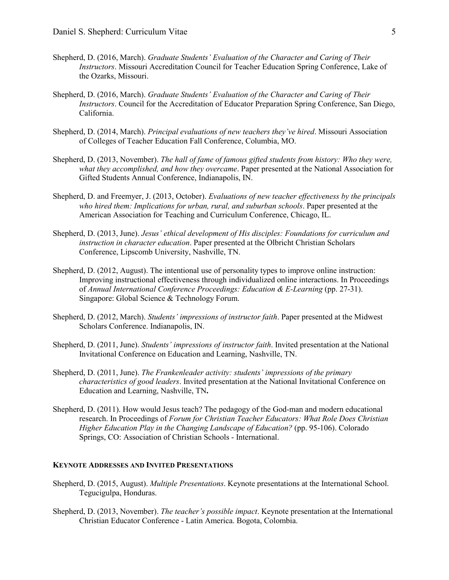- Shepherd, D. (2016, March). *Graduate Students' Evaluation of the Character and Caring of Their Instructors*. Missouri Accreditation Council for Teacher Education Spring Conference, Lake of the Ozarks, Missouri.
- Shepherd, D. (2016, March). *Graduate Students' Evaluation of the Character and Caring of Their Instructors*. Council for the Accreditation of Educator Preparation Spring Conference, San Diego, California.
- Shepherd, D. (2014, March). *Principal evaluations of new teachers they've hired*. Missouri Association of Colleges of Teacher Education Fall Conference, Columbia, MO.
- Shepherd, D. (2013, November). *The hall of fame of famous gifted students from history: Who they were, what they accomplished, and how they overcame*. Paper presented at the National Association for Gifted Students Annual Conference, Indianapolis, IN.
- Shepherd, D. and Freemyer, J. (2013, October). *Evaluations of new teacher effectiveness by the principals who hired them: Implications for urban, rural, and suburban schools*. Paper presented at the American Association for Teaching and Curriculum Conference, Chicago, IL.
- Shepherd, D. (2013, June). *Jesus' ethical development of His disciples: Foundations for curriculum and instruction in character education*. Paper presented at the Olbricht Christian Scholars Conference, Lipscomb University, Nashville, TN.
- Shepherd, D. (2012, August). The intentional use of personality types to improve online instruction: Improving instructional effectiveness through individualized online interactions. In Proceedings of *Annual International Conference Proceedings: Education & E-Learning* (pp. 27-31). Singapore: Global Science & Technology Forum.
- Shepherd, D. (2012, March). *Students' impressions of instructor faith*. Paper presented at the Midwest Scholars Conference. Indianapolis, IN.
- Shepherd, D. (2011, June). *Students' impressions of instructor faith*. Invited presentation at the National Invitational Conference on Education and Learning, Nashville, TN.
- Shepherd, D. (2011, June). *The Frankenleader activity: students' impressions of the primary characteristics of good leaders*. Invited presentation at the National Invitational Conference on Education and Learning, Nashville, TN**.**
- Shepherd, D. (2011). How would Jesus teach? The pedagogy of the God-man and modern educational research. In Proceedings of *Forum for Christian Teacher Educators: What Role Does Christian Higher Education Play in the Changing Landscape of Education?* (pp. 95-106). Colorado Springs, CO: Association of Christian Schools - International.

#### **KEYNOTE ADDRESSES AND INVITED PRESENTATIONS**

- Shepherd, D. (2015, August). *Multiple Presentations*. Keynote presentations at the International School. Tegucigulpa, Honduras.
- Shepherd, D. (2013, November). *The teacher's possible impact*. Keynote presentation at the International Christian Educator Conference - Latin America. Bogota, Colombia.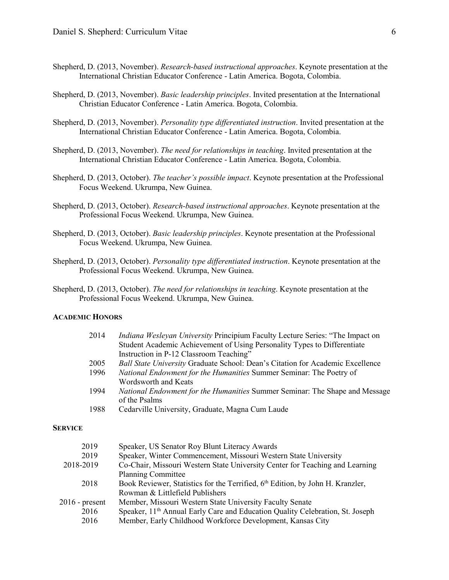- Shepherd, D. (2013, November). *Research-based instructional approaches*. Keynote presentation at the International Christian Educator Conference - Latin America. Bogota, Colombia.
- Shepherd, D. (2013, November). *Basic leadership principles*. Invited presentation at the International Christian Educator Conference - Latin America. Bogota, Colombia.
- Shepherd, D. (2013, November). *Personality type differentiated instruction*. Invited presentation at the International Christian Educator Conference - Latin America. Bogota, Colombia.
- Shepherd, D. (2013, November). *The need for relationships in teaching*. Invited presentation at the International Christian Educator Conference - Latin America. Bogota, Colombia.
- Shepherd, D. (2013, October). *The teacher's possible impact*. Keynote presentation at the Professional Focus Weekend. Ukrumpa, New Guinea.
- Shepherd, D. (2013, October). *Research-based instructional approaches*. Keynote presentation at the Professional Focus Weekend. Ukrumpa, New Guinea.
- Shepherd, D. (2013, October). *Basic leadership principles*. Keynote presentation at the Professional Focus Weekend. Ukrumpa, New Guinea.
- Shepherd, D. (2013, October). *Personality type differentiated instruction*. Keynote presentation at the Professional Focus Weekend. Ukrumpa, New Guinea.
- Shepherd, D. (2013, October). *The need for relationships in teaching*. Keynote presentation at the Professional Focus Weekend. Ukrumpa, New Guinea.

#### **ACADEMIC HONORS**

| 2014 | Indiana Wesleyan University Principium Faculty Lecture Series: "The Impact on<br>Student Academic Achievement of Using Personality Types to Differentiate<br>Instruction in P-12 Classroom Teaching" |
|------|------------------------------------------------------------------------------------------------------------------------------------------------------------------------------------------------------|
| 2005 | Ball State University Graduate School: Dean's Citation for Academic Excellence                                                                                                                       |
| 1996 | National Endowment for the Humanities Summer Seminar: The Poetry of                                                                                                                                  |
|      | Wordsworth and Keats                                                                                                                                                                                 |
| 1994 | <i>National Endowment for the Humanities</i> Summer Seminar: The Shape and Message                                                                                                                   |
|      | of the Psalms                                                                                                                                                                                        |
| 1988 | Cedarville University, Graduate, Magna Cum Laude                                                                                                                                                     |
|      |                                                                                                                                                                                                      |

#### **SERVICE**

| 2019             | Speaker, US Senator Roy Blunt Literacy Awards                                              |
|------------------|--------------------------------------------------------------------------------------------|
| 2019             | Speaker, Winter Commencement, Missouri Western State University                            |
| 2018-2019        | Co-Chair, Missouri Western State University Center for Teaching and Learning               |
|                  | <b>Planning Committee</b>                                                                  |
| 2018             | Book Reviewer, Statistics for the Terrified, 6 <sup>th</sup> Edition, by John H. Kranzler, |
|                  | Rowman & Littlefield Publishers                                                            |
| $2016$ - present | Member, Missouri Western State University Faculty Senate                                   |
| 2016             | Speaker, 11 <sup>th</sup> Annual Early Care and Education Quality Celebration, St. Joseph  |
| 2016             | Member, Early Childhood Workforce Development, Kansas City                                 |
|                  |                                                                                            |